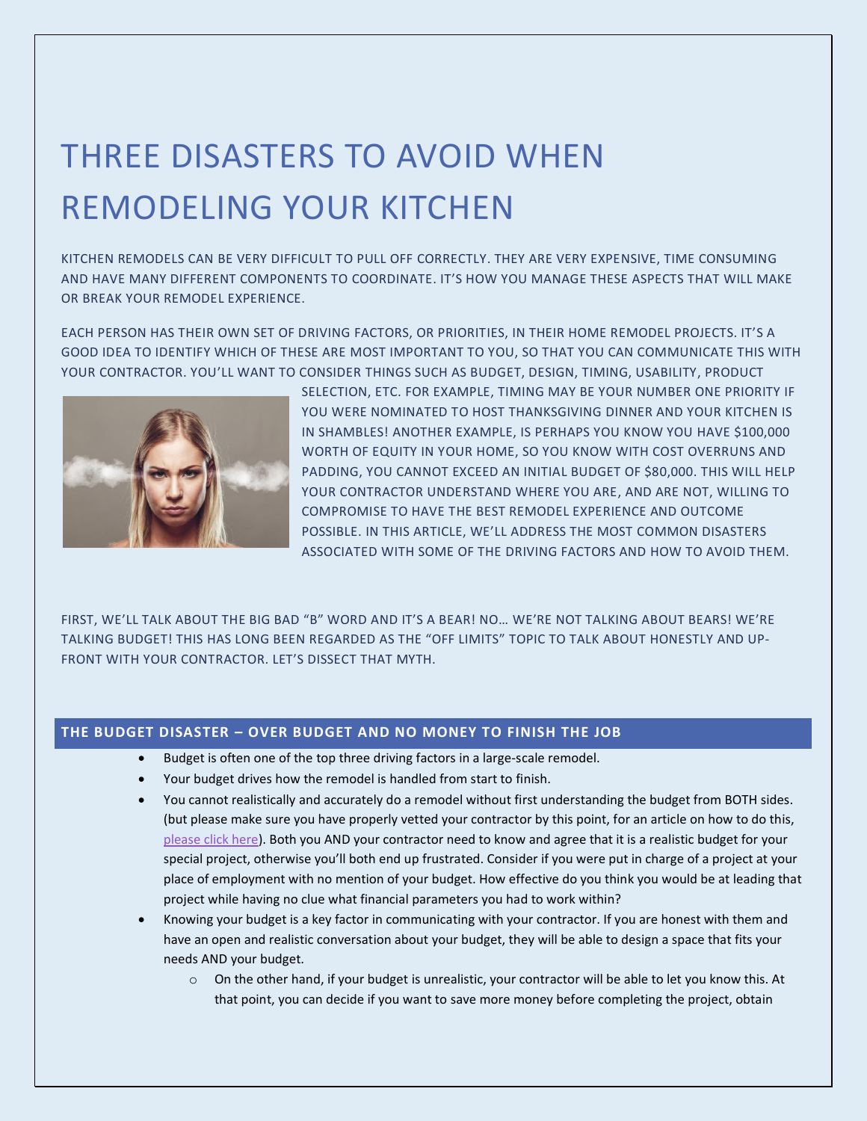# THREE DISASTERS TO AVOID WHEN REMODELING YOUR KITCHEN

KITCHEN REMODELS CAN BE VERY DIFFICULT TO PULL OFF CORRECTLY. THEY ARE VERY EXPENSIVE, TIME CONSUMING AND HAVE MANY DIFFERENT COMPONENTS TO COORDINATE. IT'S HOW YOU MANAGE THESE ASPECTS THAT WILL MAKE OR BREAK YOUR REMODEL EXPERIENCE.

EACH PERSON HAS THEIR OWN SET OF DRIVING FACTORS, OR PRIORITIES, IN THEIR HOME REMODEL PROJECTS. IT'S A GOOD IDEA TO IDENTIFY WHICH OF THESE ARE MOST IMPORTANT TO YOU, SO THAT YOU CAN COMMUNICATE THIS WITH YOUR CONTRACTOR. YOU'LL WANT TO CONSIDER THINGS SUCH AS BUDGET, DESIGN, TIMING, USABILITY, PRODUCT



SELECTION, ETC. FOR EXAMPLE, TIMING MAY BE YOUR NUMBER ONE PRIORITY IF YOU WERE NOMINATED TO HOST THANKSGIVING DINNER AND YOUR KITCHEN IS IN SHAMBLES! ANOTHER EXAMPLE, IS PERHAPS YOU KNOW YOU HAVE \$100,000 WORTH OF EQUITY IN YOUR HOME, SO YOU KNOW WITH COST OVERRUNS AND PADDING, YOU CANNOT EXCEED AN INITIAL BUDGET OF \$80,000. THIS WILL HELP YOUR CONTRACTOR UNDERSTAND WHERE YOU ARE, AND ARE NOT, WILLING TO COMPROMISE TO HAVE THE BEST REMODEL EXPERIENCE AND OUTCOME POSSIBLE. IN THIS ARTICLE, WE'LL ADDRESS THE MOST COMMON DISASTERS ASSOCIATED WITH SOME OF THE DRIVING FACTORS AND HOW TO AVOID THEM.

FIRST, WE'LL TALK ABOUT THE BIG BAD "B" WORD AND IT'S A BEAR! NO… WE'RE NOT TALKING ABOUT BEARS! WE'RE TALKING BUDGET! THIS HAS LONG BEEN REGARDED AS THE "OFF LIMITS" TOPIC TO TALK ABOUT HONESTLY AND UP-FRONT WITH YOUR CONTRACTOR. LET'S DISSECT THAT MYTH.

## **THE BUDGET DISASTER – OVER BUDGET AND NO MONEY TO FINISH THE JOB**

- Budget is often one of the top three driving factors in a large-scale remodel.
- Your budget drives how the remodel is handled from start to finish.
- You cannot realistically and accurately do a remodel without first understanding the budget from BOTH sides. (but please make sure you have properly vetted your contractor by this point, for an article on how to do this, [please click here\)](http://www.prestigecontractorsinc.com/). Both you AND your contractor need to know and agree that it is a realistic budget for your special project, otherwise you'll both end up frustrated. Consider if you were put in charge of a project at your place of employment with no mention of your budget. How effective do you think you would be at leading that project while having no clue what financial parameters you had to work within?
- Knowing your budget is a key factor in communicating with your contractor. If you are honest with them and have an open and realistic conversation about your budget, they will be able to design a space that fits your needs AND your budget.
	- o On the other hand, if your budget is unrealistic, your contractor will be able to let you know this. At that point, you can decide if you want to save more money before completing the project, obtain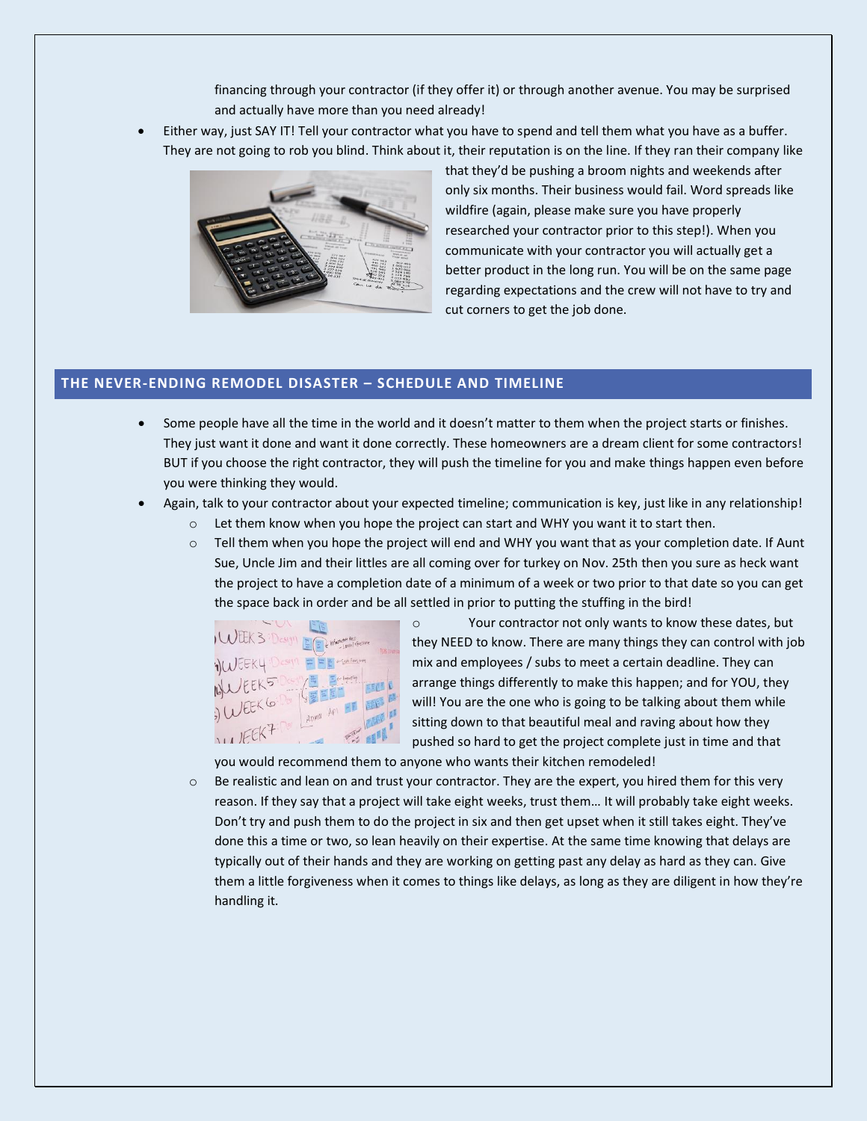financing through your contractor (if they offer it) or through another avenue. You may be surprised and actually have more than you need already!

• Either way, just SAY IT! Tell your contractor what you have to spend and tell them what you have as a buffer. They are not going to rob you blind. Think about it, their reputation is on the line. If they ran their company like



that they'd be pushing a broom nights and weekends after only six months. Their business would fail. Word spreads like wildfire (again, please make sure you have properly researched your contractor prior to this step!). When you communicate with your contractor you will actually get a better product in the long run. You will be on the same page regarding expectations and the crew will not have to try and cut corners to get the job done.

### **THE NEVER-ENDING REMODEL DISASTER – SCHEDULE AND TIMELINE**

- Some people have all the time in the world and it doesn't matter to them when the project starts or finishes. They just want it done and want it done correctly. These homeowners are a dream client for some contractors! BUT if you choose the right contractor, they will push the timeline for you and make things happen even before you were thinking they would.
- Again, talk to your contractor about your expected timeline; communication is key, just like in any relationship!
	- $\circ$  Let them know when you hope the project can start and WHY you want it to start then.
	- $\circ$  Tell them when you hope the project will end and WHY you want that as your completion date. If Aunt Sue, Uncle Jim and their littles are all coming over for turkey on Nov. 25th then you sure as heck want the project to have a completion date of a minimum of a week or two prior to that date so you can get the space back in order and be all settled in prior to putting the stuffing in the bird!



o Your contractor not only wants to know these dates, but they NEED to know. There are many things they can control with job mix and employees / subs to meet a certain deadline. They can arrange things differently to make this happen; and for YOU, they will! You are the one who is going to be talking about them while sitting down to that beautiful meal and raving about how they pushed so hard to get the project complete just in time and that

you would recommend them to anyone who wants their kitchen remodeled!

 $\circ$  Be realistic and lean on and trust your contractor. They are the expert, you hired them for this very reason. If they say that a project will take eight weeks, trust them… It will probably take eight weeks. Don't try and push them to do the project in six and then get upset when it still takes eight. They've done this a time or two, so lean heavily on their expertise. At the same time knowing that delays are typically out of their hands and they are working on getting past any delay as hard as they can. Give them a little forgiveness when it comes to things like delays, as long as they are diligent in how they're handling it.